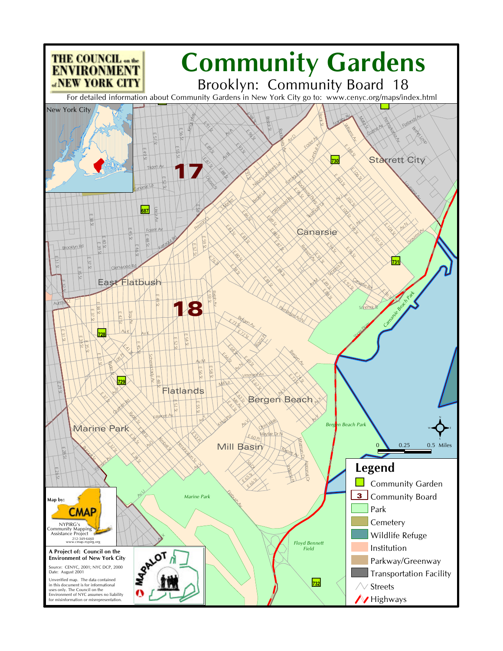